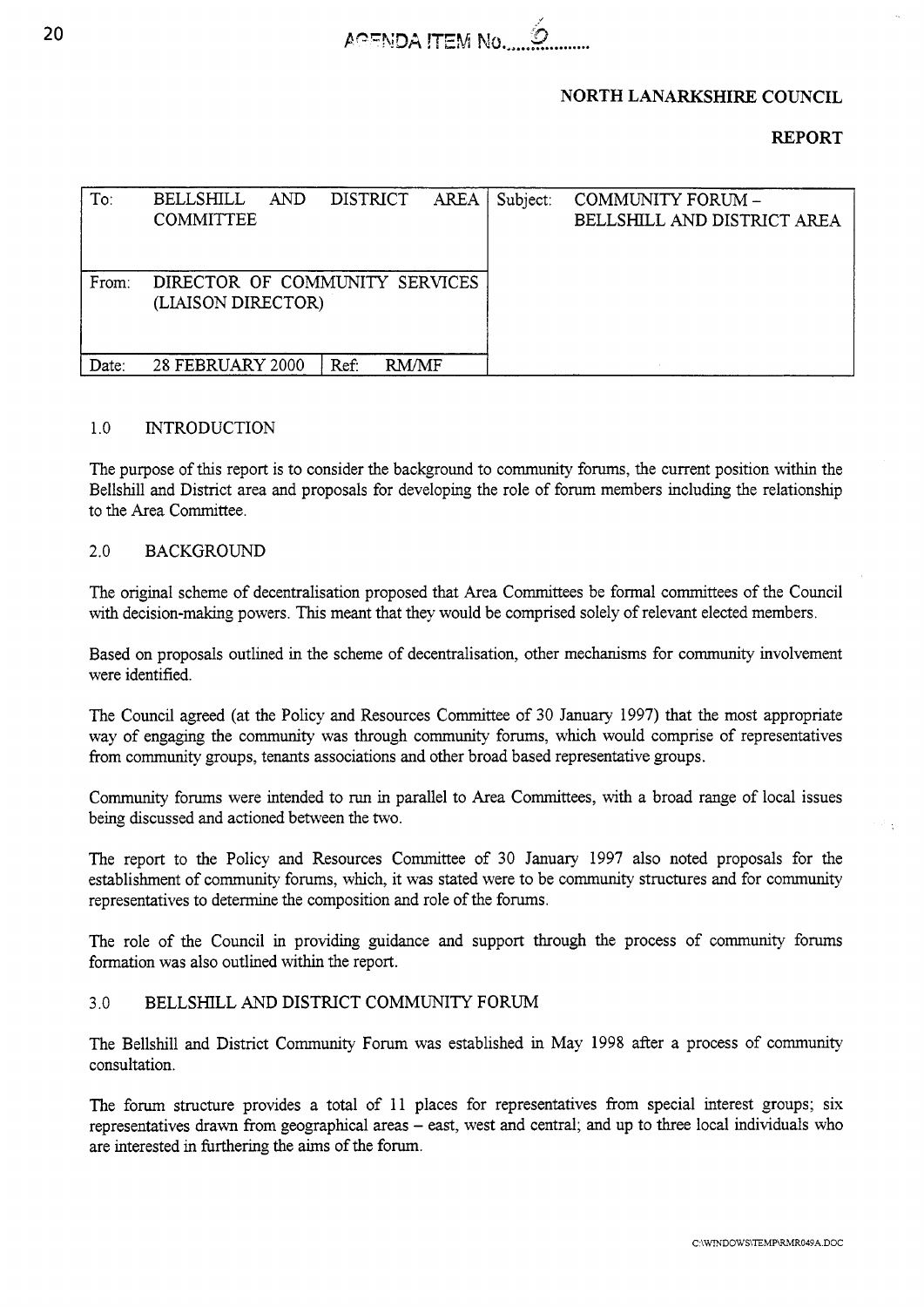

### **NORTH LANARKSHIRE COUNCIL**

# **REPORT**

| To:   | <b>BELLSHILL</b><br>AND<br><b>COMMITTEE</b>          | DISTRICT             | AREA | Subject: | COMMUNITY FORUM -<br>BELLSHILL AND DISTRICT AREA |
|-------|------------------------------------------------------|----------------------|------|----------|--------------------------------------------------|
| From: | DIRECTOR OF COMMUNITY SERVICES<br>(LIAISON DIRECTOR) |                      |      |          |                                                  |
| Date: | <b>28 FEBRUARY 2000</b>                              | Ref:<br><b>RM/MF</b> |      |          |                                                  |

### 1.0 **INTRODUCTION**

The purpose of this report is to consider the background to community forums, the current position within the Bellshill and District area and proposals for developing the role of forum members including the relationship to the Area Committee.

### 2.0 BACKGROUND

The original scheme of decentralisation proposed that Area Committees be formal committees of the Council with decision-making powers. This meant that they would be comprised solely of relevant elected members.

Based on proposals outlined in the scheme of decentralisation, other mechanisms for community involvement were identified.

The Council agreed (at the Policy and Resources Committee of 30 January 1997) that the most appropriate way of engaging the community was through community forums, which would comprise of representatives from community groups, tenants associations and other broad based representative groups.

Community forums were intended to run in parallel to Area Committees, with a broad range of local issues being discussed and actioned between the two.

The report to the Policy and Resources Committee of 30 January 1997 also noted proposals for the establishment of community forums, which, it was stated were to be community structures and for community representatives to determine the composition and role of the forums.

The role of the Council in providing guidance and support through the process of community forums formation was also outlined within the report.

### 3.0 BELLSMLL **AND** DISTRICT COMMUNITY FORUM

The Bellshill and District Community Forum was established in May 1998 after a process of community consultation.

The forum structure provides a total of 11 places for representatives from special interest groups; six representatives drawn from geographical areas - east, west and central; and up to three local individuals who are interested in furthering the aims of the forum.